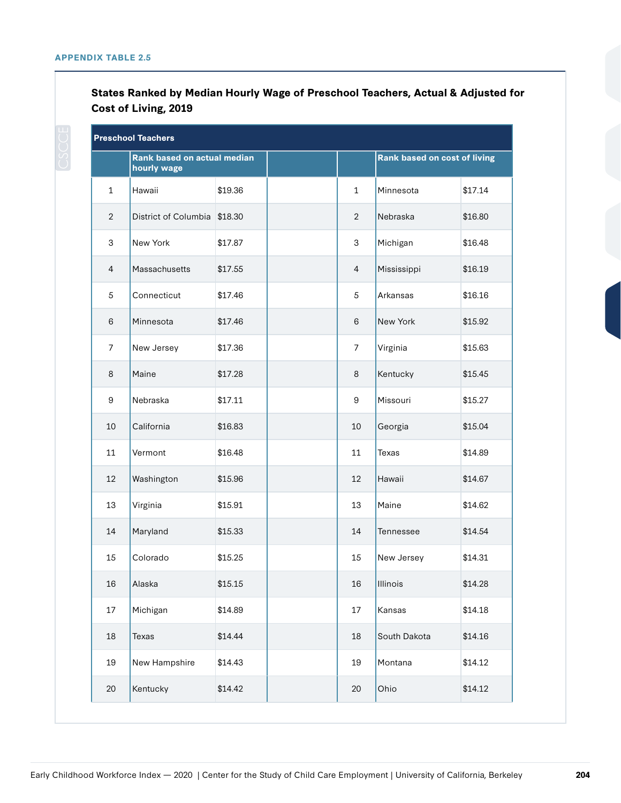|                | <b>Preschool Teachers</b>                  |         |                |                              |         |
|----------------|--------------------------------------------|---------|----------------|------------------------------|---------|
|                | Rank based on actual median<br>hourly wage |         |                | Rank based on cost of living |         |
| $\mathbf{1}$   | Hawaii                                     | \$19.36 | $\mathbf{1}$   | Minnesota                    | \$17.14 |
| $\overline{2}$ | District of Columbia                       | \$18.30 | $\overline{2}$ | Nebraska                     | \$16.80 |
| 3              | New York                                   | \$17.87 | 3              | Michigan                     | \$16.48 |
| $\overline{4}$ | Massachusetts                              | \$17.55 | $\overline{4}$ | Mississippi                  | \$16.19 |
| 5              | Connecticut                                | \$17.46 | 5              | Arkansas                     | \$16.16 |
| 6              | Minnesota                                  | \$17.46 | 6              | New York                     | \$15.92 |
| 7              | New Jersey                                 | \$17.36 | $\overline{7}$ | Virginia                     | \$15.63 |
| 8              | Maine                                      | \$17.28 | 8              | Kentucky                     | \$15.45 |
| 9              | Nebraska                                   | \$17.11 | 9              | Missouri                     | \$15.27 |
| 10             | California                                 | \$16.83 | 10             | Georgia                      | \$15.04 |
| 11             | Vermont                                    | \$16.48 | 11             | Texas                        | \$14.89 |
| 12             | Washington                                 | \$15.96 | 12             | Hawaii                       | \$14.67 |
| 13             | Virginia                                   | \$15.91 | 13             | Maine                        | \$14.62 |
| 14             | Maryland                                   | \$15.33 | 14             | Tennessee                    | \$14.54 |
| 15             | Colorado                                   | \$15.25 | 15             | New Jersey                   | \$14.31 |
| 16             | Alaska                                     | \$15.15 | 16             | Illinois                     | \$14.28 |
| 17             | Michigan                                   | \$14.89 | 17             | Kansas                       | \$14.18 |
| $18\,$         | Texas                                      | \$14.44 | 18             | South Dakota                 | \$14.16 |
| 19             | New Hampshire                              | \$14.43 | 19             | Montana                      | \$14.12 |
| 20             | Kentucky                                   | \$14.42 | 20             | Ohio                         | \$14.12 |

## **States Ranked by Median Hourly Wage of Preschool Teachers, Actual & Adjusted for Cost of Living, 2019**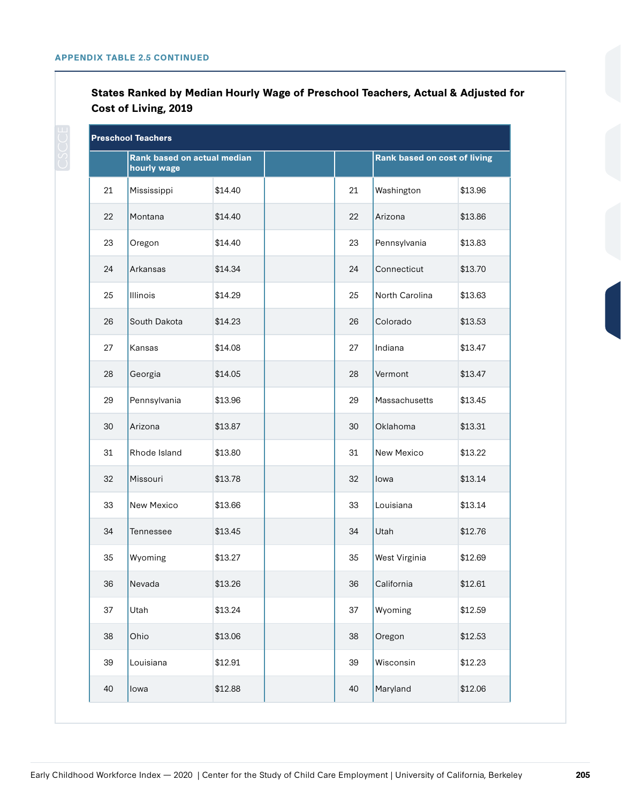**States Ranked by Median Hourly Wage of Preschool Teachers, Actual & Adjusted for Cost of Living, 2019** 

| <b>Preschool Teachers</b> |                                            |         |  |    |                                     |         |  |  |
|---------------------------|--------------------------------------------|---------|--|----|-------------------------------------|---------|--|--|
|                           | Rank based on actual median<br>hourly wage |         |  |    | <b>Rank based on cost of living</b> |         |  |  |
| 21                        | Mississippi                                | \$14.40 |  | 21 | Washington                          | \$13.96 |  |  |
| 22                        | Montana                                    | \$14.40 |  | 22 | Arizona                             | \$13.86 |  |  |
| 23                        | Oregon                                     | \$14.40 |  | 23 | Pennsylvania                        | \$13.83 |  |  |
| 24                        | Arkansas                                   | \$14.34 |  | 24 | Connecticut                         | \$13.70 |  |  |
| 25                        | Illinois                                   | \$14.29 |  | 25 | North Carolina                      | \$13.63 |  |  |
| 26                        | South Dakota                               | \$14.23 |  | 26 | Colorado                            | \$13.53 |  |  |
| 27                        | Kansas                                     | \$14.08 |  | 27 | Indiana                             | \$13.47 |  |  |
| 28                        | Georgia                                    | \$14.05 |  | 28 | Vermont                             | \$13.47 |  |  |
| 29                        | Pennsylvania                               | \$13.96 |  | 29 | Massachusetts                       | \$13.45 |  |  |
| 30                        | Arizona                                    | \$13.87 |  | 30 | Oklahoma                            | \$13.31 |  |  |
| 31                        | Rhode Island                               | \$13.80 |  | 31 | New Mexico                          | \$13.22 |  |  |
| 32                        | Missouri                                   | \$13.78 |  | 32 | lowa                                | \$13.14 |  |  |
| 33                        | New Mexico                                 | \$13.66 |  | 33 | Louisiana                           | \$13.14 |  |  |
| 34                        | Tennessee                                  | \$13.45 |  | 34 | Utah                                | \$12.76 |  |  |
| 35                        | Wyoming                                    | \$13.27 |  | 35 | West Virginia                       | \$12.69 |  |  |
| 36                        | Nevada                                     | \$13.26 |  | 36 | California                          | \$12.61 |  |  |
| 37                        | Utah                                       | \$13.24 |  | 37 | Wyoming                             | \$12.59 |  |  |
| 38                        | Ohio                                       | \$13.06 |  | 38 | Oregon                              | \$12.53 |  |  |
| 39                        | Louisiana                                  | \$12.91 |  | 39 | Wisconsin                           | \$12.23 |  |  |
| 40                        | lowa                                       | \$12.88 |  | 40 | Maryland                            | \$12.06 |  |  |